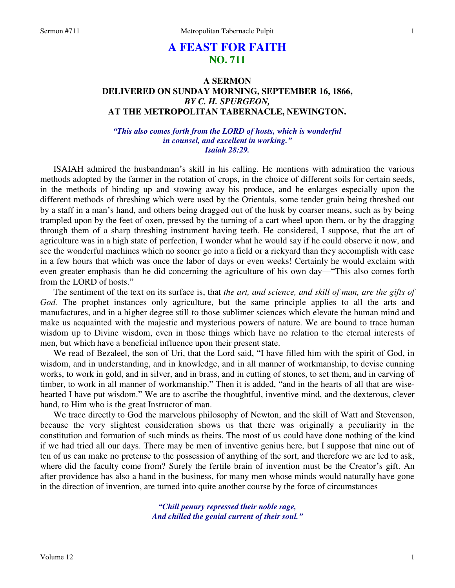# **A FEAST FOR FAITH NO. 711**

# **A SERMON DELIVERED ON SUNDAY MORNING, SEPTEMBER 16, 1866,**  *BY C. H. SPURGEON,*  **AT THE METROPOLITAN TABERNACLE, NEWINGTON.**

# *"This also comes forth from the LORD of hosts, which is wonderful in counsel, and excellent in working." Isaiah 28:29.*

ISAIAH admired the husbandman's skill in his calling. He mentions with admiration the various methods adopted by the farmer in the rotation of crops, in the choice of different soils for certain seeds, in the methods of binding up and stowing away his produce, and he enlarges especially upon the different methods of threshing which were used by the Orientals, some tender grain being threshed out by a staff in a man's hand, and others being dragged out of the husk by coarser means, such as by being trampled upon by the feet of oxen, pressed by the turning of a cart wheel upon them, or by the dragging through them of a sharp threshing instrument having teeth. He considered, I suppose, that the art of agriculture was in a high state of perfection, I wonder what he would say if he could observe it now, and see the wonderful machines which no sooner go into a field or a rickyard than they accomplish with ease in a few hours that which was once the labor of days or even weeks! Certainly he would exclaim with even greater emphasis than he did concerning the agriculture of his own day—"This also comes forth from the LORD of hosts."

The sentiment of the text on its surface is, that *the art, and science, and skill of man, are the gifts of God.* The prophet instances only agriculture, but the same principle applies to all the arts and manufactures, and in a higher degree still to those sublimer sciences which elevate the human mind and make us acquainted with the majestic and mysterious powers of nature. We are bound to trace human wisdom up to Divine wisdom, even in those things which have no relation to the eternal interests of men, but which have a beneficial influence upon their present state.

We read of Bezaleel, the son of Uri, that the Lord said, "I have filled him with the spirit of God, in wisdom, and in understanding, and in knowledge, and in all manner of workmanship, to devise cunning works, to work in gold, and in silver, and in brass, and in cutting of stones, to set them, and in carving of timber, to work in all manner of workmanship." Then it is added, "and in the hearts of all that are wisehearted I have put wisdom." We are to ascribe the thoughtful, inventive mind, and the dexterous, clever hand, to Him who is the great Instructor of man.

We trace directly to God the marvelous philosophy of Newton, and the skill of Watt and Stevenson, because the very slightest consideration shows us that there was originally a peculiarity in the constitution and formation of such minds as theirs. The most of us could have done nothing of the kind if we had tried all our days. There may be men of inventive genius here, but I suppose that nine out of ten of us can make no pretense to the possession of anything of the sort, and therefore we are led to ask, where did the faculty come from? Surely the fertile brain of invention must be the Creator's gift. An after providence has also a hand in the business, for many men whose minds would naturally have gone in the direction of invention, are turned into quite another course by the force of circumstances—

> *"Chill penury repressed their noble rage, And chilled the genial current of their soul."*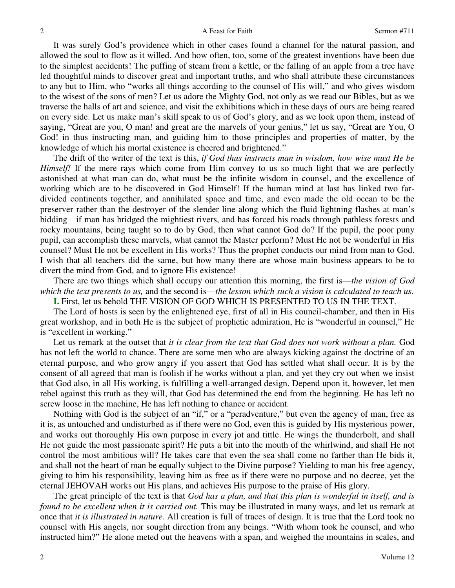It was surely God's providence which in other cases found a channel for the natural passion, and allowed the soul to flow as it willed. And how often, too, some of the greatest inventions have been due to the simplest accidents! The puffing of steam from a kettle, or the falling of an apple from a tree have led thoughtful minds to discover great and important truths, and who shall attribute these circumstances to any but to Him, who "works all things according to the counsel of His will," and who gives wisdom to the wisest of the sons of men? Let us adore the Mighty God, not only as we read our Bibles, but as we traverse the halls of art and science, and visit the exhibitions which in these days of ours are being reared on every side. Let us make man's skill speak to us of God's glory, and as we look upon them, instead of saying, "Great are you, O man! and great are the marvels of your genius," let us say, "Great are You, O God! in thus instructing man, and guiding him to those principles and properties of matter, by the knowledge of which his mortal existence is cheered and brightened."

The drift of the writer of the text is this, *if God thus instructs man in wisdom, how wise must He be Himself!* If the mere rays which come from Him convey to us so much light that we are perfectly astonished at what man can do, what must be the infinite wisdom in counsel, and the excellence of working which are to be discovered in God Himself! If the human mind at last has linked two fardivided continents together, and annihilated space and time, and even made the old ocean to be the preserver rather than the destroyer of the slender line along which the fluid lightning flashes at man's bidding—if man has bridged the mightiest rivers, and has forced his roads through pathless forests and rocky mountains, being taught so to do by God, then what cannot God do? If the pupil, the poor puny pupil, can accomplish these marvels, what cannot the Master perform? Must He not be wonderful in His counsel? Must He not be excellent in His works? Thus the prophet conducts our mind from man to God. I wish that all teachers did the same, but how many there are whose main business appears to be to divert the mind from God, and to ignore His existence!

There are two things which shall occupy our attention this morning, the first is—*the vision of God which the text presents to us,* and the second is—*the lesson which such a vision is calculated to teach us.* **I.** First, let us behold THE VISION OF GOD WHICH IS PRESENTED TO US IN THE TEXT.

The Lord of hosts is seen by the enlightened eye, first of all in His council-chamber, and then in His great workshop, and in both He is the subject of prophetic admiration, He is "wonderful in counsel," He is "excellent in working."

Let us remark at the outset that *it is clear from the text that God does not work without a plan.* God has not left the world to chance. There are some men who are always kicking against the doctrine of an eternal purpose, and who grow angry if you assert that God has settled what shall occur. It is by the consent of all agreed that man is foolish if he works without a plan, and yet they cry out when we insist that God also, in all His working, is fulfilling a well-arranged design. Depend upon it, however, let men rebel against this truth as they will, that God has determined the end from the beginning. He has left no screw loose in the machine, He has left nothing to chance or accident.

Nothing with God is the subject of an "if," or a "peradventure," but even the agency of man, free as it is, as untouched and undisturbed as if there were no God, even this is guided by His mysterious power, and works out thoroughly His own purpose in every jot and tittle. He wings the thunderbolt, and shall He not guide the most passionate spirit? He puts a bit into the mouth of the whirlwind, and shall He not control the most ambitious will? He takes care that even the sea shall come no farther than He bids it, and shall not the heart of man be equally subject to the Divine purpose? Yielding to man his free agency, giving to him his responsibility, leaving him as free as if there were no purpose and no decree, yet the eternal JEHOVAH works out His plans, and achieves His purpose to the praise of His glory.

The great principle of the text is that *God has a plan, and that this plan is wonderful in itself, and is found to be excellent when it is carried out.* This may be illustrated in many ways, and let us remark at once that *it is illustrated in nature.* All creation is full of traces of design. It is true that the Lord took no counsel with His angels, nor sought direction from any beings. "With whom took he counsel, and who instructed him?" He alone meted out the heavens with a span, and weighed the mountains in scales, and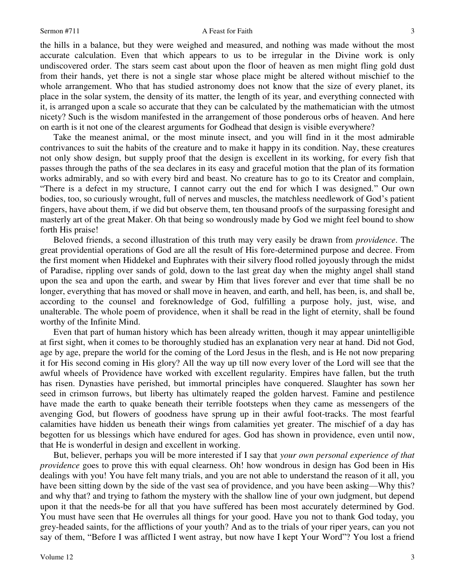the hills in a balance, but they were weighed and measured, and nothing was made without the most accurate calculation. Even that which appears to us to be irregular in the Divine work is only undiscovered order. The stars seem cast about upon the floor of heaven as men might fling gold dust from their hands, yet there is not a single star whose place might be altered without mischief to the whole arrangement. Who that has studied astronomy does not know that the size of every planet, its place in the solar system, the density of its matter, the length of its year, and everything connected with it, is arranged upon a scale so accurate that they can be calculated by the mathematician with the utmost nicety? Such is the wisdom manifested in the arrangement of those ponderous orbs of heaven. And here on earth is it not one of the clearest arguments for Godhead that design is visible everywhere?

Take the meanest animal, or the most minute insect, and you will find in it the most admirable contrivances to suit the habits of the creature and to make it happy in its condition. Nay, these creatures not only show design, but supply proof that the design is excellent in its working, for every fish that passes through the paths of the sea declares in its easy and graceful motion that the plan of its formation works admirably, and so with every bird and beast. No creature has to go to its Creator and complain, "There is a defect in my structure, I cannot carry out the end for which I was designed." Our own bodies, too, so curiously wrought, full of nerves and muscles, the matchless needlework of God's patient fingers, have about them, if we did but observe them, ten thousand proofs of the surpassing foresight and masterly art of the great Maker. Oh that being so wondrously made by God we might feel bound to show forth His praise!

Beloved friends, a second illustration of this truth may very easily be drawn from *providence*. The great providential operations of God are all the result of His fore-determined purpose and decree. From the first moment when Hiddekel and Euphrates with their silvery flood rolled joyously through the midst of Paradise, rippling over sands of gold, down to the last great day when the mighty angel shall stand upon the sea and upon the earth, and swear by Him that lives forever and ever that time shall be no longer, everything that has moved or shall move in heaven, and earth, and hell, has been, is, and shall be, according to the counsel and foreknowledge of God, fulfilling a purpose holy, just, wise, and unalterable. The whole poem of providence, when it shall be read in the light of eternity, shall be found worthy of the Infinite Mind.

Even that part of human history which has been already written, though it may appear unintelligible at first sight, when it comes to be thoroughly studied has an explanation very near at hand. Did not God, age by age, prepare the world for the coming of the Lord Jesus in the flesh, and is He not now preparing it for His second coming in His glory? All the way up till now every lover of the Lord will see that the awful wheels of Providence have worked with excellent regularity. Empires have fallen, but the truth has risen. Dynasties have perished, but immortal principles have conquered. Slaughter has sown her seed in crimson furrows, but liberty has ultimately reaped the golden harvest. Famine and pestilence have made the earth to quake beneath their terrible footsteps when they came as messengers of the avenging God, but flowers of goodness have sprung up in their awful foot-tracks. The most fearful calamities have hidden us beneath their wings from calamities yet greater. The mischief of a day has begotten for us blessings which have endured for ages. God has shown in providence, even until now, that He is wonderful in design and excellent in working.

But, believer, perhaps you will be more interested if I say that *your own personal experience of that providence* goes to prove this with equal clearness. Oh! how wondrous in design has God been in His dealings with you! You have felt many trials, and you are not able to understand the reason of it all, you have been sitting down by the side of the vast sea of providence, and you have been asking—Why this? and why that? and trying to fathom the mystery with the shallow line of your own judgment, but depend upon it that the needs-be for all that you have suffered has been most accurately determined by God. You must have seen that He overrules all things for your good. Have you not to thank God today, you grey-headed saints, for the afflictions of your youth? And as to the trials of your riper years, can you not say of them, "Before I was afflicted I went astray, but now have I kept Your Word"? You lost a friend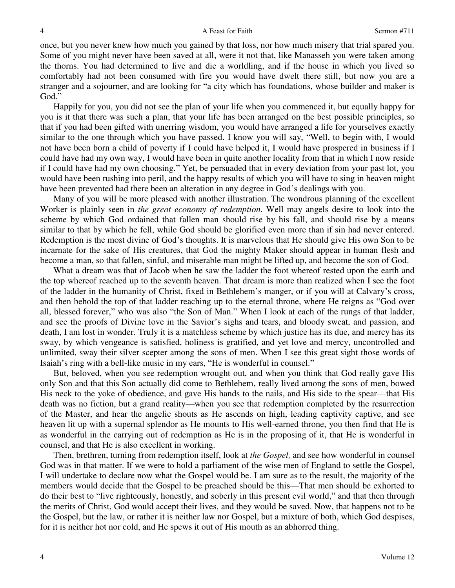once, but you never knew how much you gained by that loss, nor how much misery that trial spared you. Some of you might never have been saved at all, were it not that, like Manasseh you were taken among the thorns. You had determined to live and die a worldling, and if the house in which you lived so comfortably had not been consumed with fire you would have dwelt there still, but now you are a stranger and a sojourner, and are looking for "a city which has foundations, whose builder and maker is God."

Happily for you, you did not see the plan of your life when you commenced it, but equally happy for you is it that there was such a plan, that your life has been arranged on the best possible principles, so that if you had been gifted with unerring wisdom, you would have arranged a life for yourselves exactly similar to the one through which you have passed. I know you will say, "Well, to begin with, I would not have been born a child of poverty if I could have helped it, I would have prospered in business if I could have had my own way, I would have been in quite another locality from that in which I now reside if I could have had my own choosing." Yet, be persuaded that in every deviation from your past lot, you would have been rushing into peril, and the happy results of which you will have to sing in heaven might have been prevented had there been an alteration in any degree in God's dealings with you.

Many of you will be more pleased with another illustration. The wondrous planning of the excellent Worker is plainly seen in *the great economy of redemption*. Well may angels desire to look into the scheme by which God ordained that fallen man should rise by his fall, and should rise by a means similar to that by which he fell, while God should be glorified even more than if sin had never entered. Redemption is the most divine of God's thoughts. It is marvelous that He should give His own Son to be incarnate for the sake of His creatures, that God the mighty Maker should appear in human flesh and become a man, so that fallen, sinful, and miserable man might be lifted up, and become the son of God.

What a dream was that of Jacob when he saw the ladder the foot whereof rested upon the earth and the top whereof reached up to the seventh heaven. That dream is more than realized when I see the foot of the ladder in the humanity of Christ, fixed in Bethlehem's manger, or if you will at Calvary's cross, and then behold the top of that ladder reaching up to the eternal throne, where He reigns as "God over all, blessed forever," who was also "the Son of Man." When I look at each of the rungs of that ladder, and see the proofs of Divine love in the Savior's sighs and tears, and bloody sweat, and passion, and death, I am lost in wonder. Truly it is a matchless scheme by which justice has its due, and mercy has its sway, by which vengeance is satisfied, holiness is gratified, and yet love and mercy, uncontrolled and unlimited, sway their silver scepter among the sons of men. When I see this great sight those words of Isaiah's ring with a bell-like music in my ears, "He is wonderful in counsel."

But, beloved, when you see redemption wrought out, and when you think that God really gave His only Son and that this Son actually did come to Bethlehem, really lived among the sons of men, bowed His neck to the yoke of obedience, and gave His hands to the nails, and His side to the spear—that His death was no fiction, but a grand reality—when you see that redemption completed by the resurrection of the Master, and hear the angelic shouts as He ascends on high, leading captivity captive, and see heaven lit up with a supernal splendor as He mounts to His well-earned throne, you then find that He is as wonderful in the carrying out of redemption as He is in the proposing of it, that He is wonderful in counsel, and that He is also excellent in working.

Then, brethren, turning from redemption itself, look at *the Gospel,* and see how wonderful in counsel God was in that matter. If we were to hold a parliament of the wise men of England to settle the Gospel, I will undertake to declare now what the Gospel would be. I am sure as to the result, the majority of the members would decide that the Gospel to be preached should be this—That men should be exhorted to do their best to "live righteously, honestly, and soberly in this present evil world," and that then through the merits of Christ, God would accept their lives, and they would be saved. Now, that happens not to be the Gospel, but the law, or rather it is neither law nor Gospel, but a mixture of both, which God despises, for it is neither hot nor cold, and He spews it out of His mouth as an abhorred thing.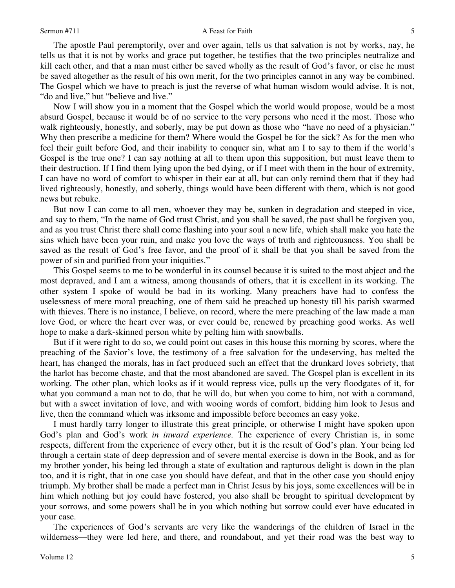The apostle Paul peremptorily, over and over again, tells us that salvation is not by works, nay, he tells us that it is not by works and grace put together, he testifies that the two principles neutralize and kill each other, and that a man must either be saved wholly as the result of God's favor, or else he must be saved altogether as the result of his own merit, for the two principles cannot in any way be combined. The Gospel which we have to preach is just the reverse of what human wisdom would advise. It is not, "do and live," but "believe and live."

Now I will show you in a moment that the Gospel which the world would propose, would be a most absurd Gospel, because it would be of no service to the very persons who need it the most. Those who walk righteously, honestly, and soberly, may be put down as those who "have no need of a physician." Why then prescribe a medicine for them? Where would the Gospel be for the sick? As for the men who feel their guilt before God, and their inability to conquer sin, what am I to say to them if the world's Gospel is the true one? I can say nothing at all to them upon this supposition, but must leave them to their destruction. If I find them lying upon the bed dying, or if I meet with them in the hour of extremity, I can have no word of comfort to whisper in their ear at all, but can only remind them that if they had lived righteously, honestly, and soberly, things would have been different with them, which is not good news but rebuke.

But now I can come to all men, whoever they may be, sunken in degradation and steeped in vice, and say to them, "In the name of God trust Christ, and you shall be saved, the past shall be forgiven you, and as you trust Christ there shall come flashing into your soul a new life, which shall make you hate the sins which have been your ruin, and make you love the ways of truth and righteousness. You shall be saved as the result of God's free favor, and the proof of it shall be that you shall be saved from the power of sin and purified from your iniquities."

This Gospel seems to me to be wonderful in its counsel because it is suited to the most abject and the most depraved, and I am a witness, among thousands of others, that it is excellent in its working. The other system I spoke of would be bad in its working. Many preachers have had to confess the uselessness of mere moral preaching, one of them said he preached up honesty till his parish swarmed with thieves. There is no instance, I believe, on record, where the mere preaching of the law made a man love God, or where the heart ever was, or ever could be, renewed by preaching good works. As well hope to make a dark-skinned person white by pelting him with snowballs.

But if it were right to do so, we could point out cases in this house this morning by scores, where the preaching of the Savior's love, the testimony of a free salvation for the undeserving, has melted the heart, has changed the morals, has in fact produced such an effect that the drunkard loves sobriety, that the harlot has become chaste, and that the most abandoned are saved. The Gospel plan is excellent in its working. The other plan, which looks as if it would repress vice, pulls up the very floodgates of it, for what you command a man not to do, that he will do, but when you come to him, not with a command, but with a sweet invitation of love, and with wooing words of comfort, bidding him look to Jesus and live, then the command which was irksome and impossible before becomes an easy yoke.

I must hardly tarry longer to illustrate this great principle, or otherwise I might have spoken upon God's plan and God's work *in inward experience.* The experience of every Christian is, in some respects, different from the experience of every other, but it is the result of God's plan. Your being led through a certain state of deep depression and of severe mental exercise is down in the Book, and as for my brother yonder, his being led through a state of exultation and rapturous delight is down in the plan too, and it is right, that in one case you should have defeat, and that in the other case you should enjoy triumph. My brother shall be made a perfect man in Christ Jesus by his joys, some excellences will be in him which nothing but joy could have fostered, you also shall be brought to spiritual development by your sorrows, and some powers shall be in you which nothing but sorrow could ever have educated in your case.

The experiences of God's servants are very like the wanderings of the children of Israel in the wilderness—they were led here, and there, and roundabout, and yet their road was the best way to

5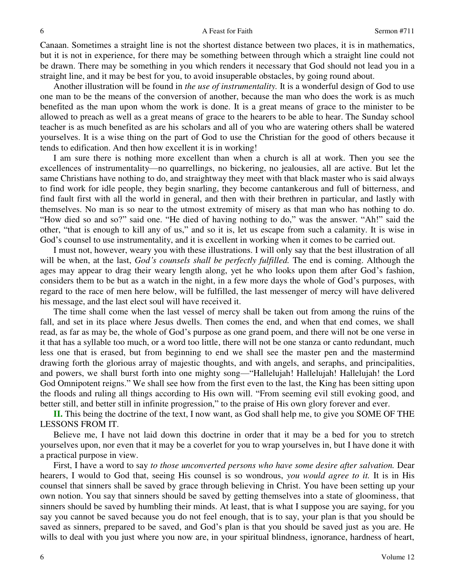#### A Feast for Faith Sermon #711

Canaan. Sometimes a straight line is not the shortest distance between two places, it is in mathematics, but it is not in experience, for there may be something between through which a straight line could not be drawn. There may be something in you which renders it necessary that God should not lead you in a straight line, and it may be best for you, to avoid insuperable obstacles, by going round about.

Another illustration will be found in *the use of instrumentality.* It is a wonderful design of God to use one man to be the means of the conversion of another, because the man who does the work is as much benefited as the man upon whom the work is done. It is a great means of grace to the minister to be allowed to preach as well as a great means of grace to the hearers to be able to hear. The Sunday school teacher is as much benefited as are his scholars and all of you who are watering others shall be watered yourselves. It is a wise thing on the part of God to use the Christian for the good of others because it tends to edification. And then how excellent it is in working!

I am sure there is nothing more excellent than when a church is all at work. Then you see the excellences of instrumentality—no quarrellings, no bickering, no jealousies, all are active. But let the same Christians have nothing to do, and straightway they meet with that black master who is said always to find work for idle people, they begin snarling, they become cantankerous and full of bitterness, and find fault first with all the world in general, and then with their brethren in particular, and lastly with themselves. No man is so near to the utmost extremity of misery as that man who has nothing to do. "How died so and so?" said one. "He died of having nothing to do," was the answer. "Ah!" said the other, "that is enough to kill any of us," and so it is, let us escape from such a calamity. It is wise in God's counsel to use instrumentality, and it is excellent in working when it comes to be carried out.

I must not, however, weary you with these illustrations. I will only say that the best illustration of all will be when, at the last, *God's counsels shall be perfectly fulfilled.* The end is coming. Although the ages may appear to drag their weary length along, yet he who looks upon them after God's fashion, considers them to be but as a watch in the night, in a few more days the whole of God's purposes, with regard to the race of men here below, will be fulfilled, the last messenger of mercy will have delivered his message, and the last elect soul will have received it.

The time shall come when the last vessel of mercy shall be taken out from among the ruins of the fall, and set in its place where Jesus dwells. Then comes the end, and when that end comes, we shall read, as far as may be, the whole of God's purpose as one grand poem, and there will not be one verse in it that has a syllable too much, or a word too little, there will not be one stanza or canto redundant, much less one that is erased, but from beginning to end we shall see the master pen and the mastermind drawing forth the glorious array of majestic thoughts, and with angels, and seraphs, and principalities, and powers, we shall burst forth into one mighty song—"Hallelujah! Hallelujah! Hallelujah! the Lord God Omnipotent reigns." We shall see how from the first even to the last, the King has been sitting upon the floods and ruling all things according to His own will. "From seeming evil still evoking good, and better still, and better still in infinite progression," to the praise of His own glory forever and ever.

**II.** This being the doctrine of the text, I now want, as God shall help me, to give you SOME OF THE LESSONS FROM IT.

Believe me, I have not laid down this doctrine in order that it may be a bed for you to stretch yourselves upon, nor even that it may be a coverlet for you to wrap yourselves in, but I have done it with a practical purpose in view.

First, I have a word to say *to those unconverted persons who have some desire after salvation.* Dear hearers, I would to God that, seeing His counsel is so wondrous, *you would agree to it.* It is in His counsel that sinners shall be saved by grace through believing in Christ. You have been setting up your own notion. You say that sinners should be saved by getting themselves into a state of gloominess, that sinners should be saved by humbling their minds. At least, that is what I suppose you are saying, for you say you cannot be saved because you do not feel enough, that is to say, your plan is that you should be saved as sinners, prepared to be saved, and God's plan is that you should be saved just as you are. He wills to deal with you just where you now are, in your spiritual blindness, ignorance, hardness of heart,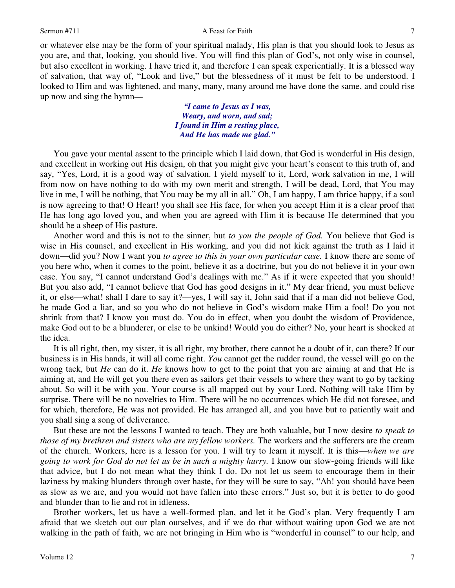or whatever else may be the form of your spiritual malady, His plan is that you should look to Jesus as you are, and that, looking, you should live. You will find this plan of God's, not only wise in counsel, but also excellent in working. I have tried it, and therefore I can speak experientially. It is a blessed way of salvation, that way of, "Look and live," but the blessedness of it must be felt to be understood. I looked to Him and was lightened, and many, many, many around me have done the same, and could rise up now and sing the hymn*—*

> *"I came to Jesus as I was, Weary, and worn, and sad; I found in Him a resting place, And He has made me glad."*

You gave your mental assent to the principle which I laid down, that God is wonderful in His design, and excellent in working out His design, oh that you might give your heart's consent to this truth of, and say, "Yes, Lord, it is a good way of salvation. I yield myself to it, Lord, work salvation in me, I will from now on have nothing to do with my own merit and strength, I will be dead, Lord, that You may live in me, I will be nothing, that You may be my all in all." Oh, I am happy, I am thrice happy, if a soul is now agreeing to that! O Heart! you shall see His face, for when you accept Him it is a clear proof that He has long ago loved you, and when you are agreed with Him it is because He determined that you should be a sheep of His pasture.

Another word and this is not to the sinner, but *to you the people of God.* You believe that God is wise in His counsel, and excellent in His working, and you did not kick against the truth as I laid it down—did you? Now I want you *to agree to this in your own particular case.* I know there are some of you here who, when it comes to the point, believe it as a doctrine, but you do not believe it in your own case. You say, "I cannot understand God's dealings with me." As if it were expected that you should! But you also add, "I cannot believe that God has good designs in it." My dear friend, you must believe it, or else—what! shall I dare to say it?—yes, I will say it, John said that if a man did not believe God, he made God a liar, and so you who do not believe in God's wisdom make Him a fool! Do you not shrink from that? I know you must do. You do in effect, when you doubt the wisdom of Providence, make God out to be a blunderer, or else to be unkind! Would you do either? No, your heart is shocked at the idea.

It is all right, then, my sister, it is all right, my brother, there cannot be a doubt of it, can there? If our business is in His hands, it will all come right. *You* cannot get the rudder round, the vessel will go on the wrong tack, but *He* can do it. *He* knows how to get to the point that you are aiming at and that He is aiming at, and He will get you there even as sailors get their vessels to where they want to go by tacking about. So will it be with you. Your course is all mapped out by your Lord. Nothing will take Him by surprise. There will be no novelties to Him. There will be no occurrences which He did not foresee, and for which, therefore, He was not provided. He has arranged all, and you have but to patiently wait and you shall sing a song of deliverance.

But these are not the lessons I wanted to teach. They are both valuable, but I now desire *to speak to those of my brethren and sisters who are my fellow workers.* The workers and the sufferers are the cream of the church. Workers, here is a lesson for you. I will try to learn it myself. It is this—*when we are going to work for God do not let us be in such a mighty hurry.* I know our slow-going friends will like that advice, but I do not mean what they think I do. Do not let us seem to encourage them in their laziness by making blunders through over haste, for they will be sure to say, "Ah! you should have been as slow as we are, and you would not have fallen into these errors." Just so, but it is better to do good and blunder than to lie and rot in idleness.

Brother workers, let us have a well-formed plan, and let it be God's plan. Very frequently I am afraid that we sketch out our plan ourselves, and if we do that without waiting upon God we are not walking in the path of faith, we are not bringing in Him who is "wonderful in counsel" to our help, and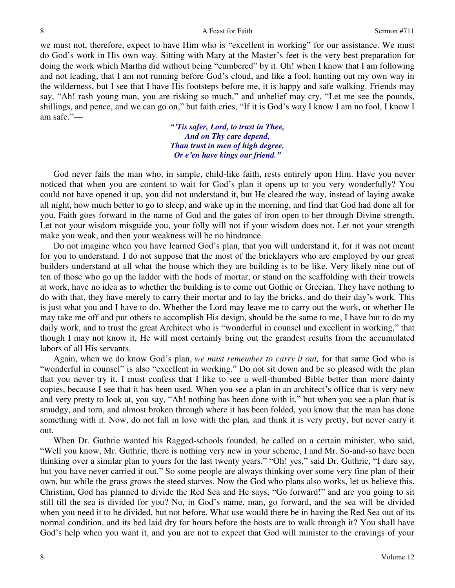### A Feast for Faith Sermon #711

we must not, therefore, expect to have Him who is "excellent in working" for our assistance. We must do God's work in His own way. Sitting with Mary at the Master's feet is the very best preparation for doing the work which Martha did without being "cumbered" by it. Oh! when I know that I am following and not leading, that I am not running before God's cloud, and like a fool, hunting out my own way in the wilderness, but I see that I have His footsteps before me, it is happy and safe walking. Friends may say, "Ah! rash young man, you are risking so much," and unbelief may cry, "Let me see the pounds, shillings, and pence, and we can go on," but faith cries, "If it is God's way I know I am no fool, I know I am safe."—

> *"'Tis safer, Lord, to trust in Thee, And on Thy care depend, Than trust in men of high degree, Or e'en have kings our friend."*

God never fails the man who, in simple, child-like faith, rests entirely upon Him. Have you never noticed that when you are content to wait for God's plan it opens up to you very wonderfully? You could not have opened it up, you did not understand it, but He cleared the way, instead of laying awake all night, how much better to go to sleep, and wake up in the morning, and find that God had done all for you. Faith goes forward in the name of God and the gates of iron open to her through Divine strength. Let not your wisdom misguide you, your folly will not if your wisdom does not. Let not your strength make you weak, and then your weakness will be no hindrance.

Do not imagine when you have learned God's plan, that you will understand it, for it was not meant for you to understand. I do not suppose that the most of the bricklayers who are employed by our great builders understand at all what the house which they are building is to be like. Very likely nine out of ten of those who go up the ladder with the hods of mortar, or stand on the scaffolding with their trowels at work, have no idea as to whether the building is to come out Gothic or Grecian. They have nothing to do with that, they have merely to carry their mortar and to lay the bricks, and do their day's work. This is just what you and I have to do. Whether the Lord may leave me to carry out the work, or whether He may take me off and put others to accomplish His design, should be the same to me, I have but to do my daily work, and to trust the great Architect who is "wonderful in counsel and excellent in working," that though I may not know it, He will most certainly bring out the grandest results from the accumulated labors of all His servants.

Again, when we do know God's plan, *we must remember to carry it out,* for that same God who is "wonderful in counsel" is also "excellent in working." Do not sit down and be so pleased with the plan that you never try it. I must confess that I like to see a well-thumbed Bible better than more dainty copies, because I see that it has been used. When you see a plan in an architect's office that is very new and very pretty to look at, you say, "Ah! nothing has been done with it," but when you see a plan that is smudgy, and torn, and almost broken through where it has been folded, you know that the man has done something with it. Now, do not fall in love with the plan*,* and think it is very pretty, but never carry it out.

When Dr. Guthrie wanted his Ragged-schools founded, he called on a certain minister, who said, "Well you know, Mr. Guthrie, there is nothing very new in your scheme, I and Mr. So-and-so have been thinking over a similar plan to yours for the last twenty years." "Oh! yes," said Dr. Guthrie, "I dare say, but you have never carried it out." So some people are always thinking over some very fine plan of their own, but while the grass grows the steed starves. Now the God who plans also works, let us believe this. Christian, God has planned to divide the Red Sea and He says, "Go forward!" and are you going to sit still till the sea is divided for you? No, in God's name, man, go forward, and the sea will be divided when you need it to be divided, but not before. What use would there be in having the Red Sea out of its normal condition, and its bed laid dry for hours before the hosts are to walk through it? You shall have God's help when you want it, and you are not to expect that God will minister to the cravings of your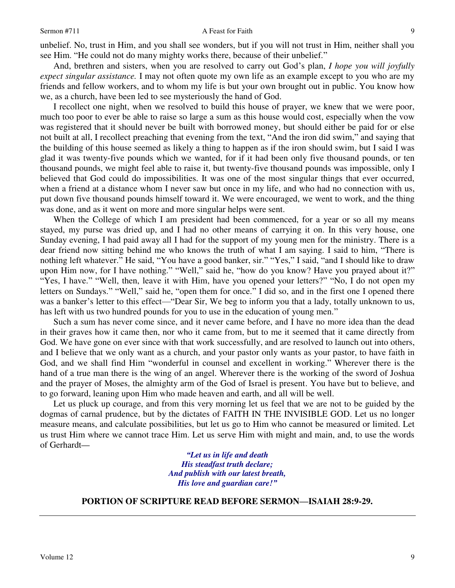unbelief. No, trust in Him, and you shall see wonders, but if you will not trust in Him, neither shall you see Him. "He could not do many mighty works there, because of their unbelief."

And, brethren and sisters, when you are resolved to carry out God's plan, *I hope you will joyfully expect singular assistance.* I may not often quote my own life as an example except to you who are my friends and fellow workers, and to whom my life is but your own brought out in public. You know how we, as a church, have been led to see mysteriously the hand of God.

I recollect one night, when we resolved to build this house of prayer, we knew that we were poor, much too poor to ever be able to raise so large a sum as this house would cost, especially when the vow was registered that it should never be built with borrowed money, but should either be paid for or else not built at all, I recollect preaching that evening from the text, "And the iron did swim," and saying that the building of this house seemed as likely a thing to happen as if the iron should swim, but I said I was glad it was twenty-five pounds which we wanted, for if it had been only five thousand pounds, or ten thousand pounds, we might feel able to raise it, but twenty-five thousand pounds was impossible, only I believed that God could do impossibilities. It was one of the most singular things that ever occurred, when a friend at a distance whom I never saw but once in my life, and who had no connection with us, put down five thousand pounds himself toward it. We were encouraged, we went to work, and the thing was done, and as it went on more and more singular helps were sent.

When the College of which I am president had been commenced, for a year or so all my means stayed, my purse was dried up, and I had no other means of carrying it on. In this very house, one Sunday evening, I had paid away all I had for the support of my young men for the ministry. There is a dear friend now sitting behind me who knows the truth of what I am saying. I said to him, "There is nothing left whatever." He said, "You have a good banker, sir." "Yes," I said, "and I should like to draw upon Him now, for I have nothing." "Well," said he, "how do you know? Have you prayed about it?" "Yes, I have." "Well, then, leave it with Him, have you opened your letters?" "No, I do not open my letters on Sundays." "Well," said he, "open them for once." I did so, and in the first one I opened there was a banker's letter to this effect—"Dear Sir, We beg to inform you that a lady, totally unknown to us, has left with us two hundred pounds for you to use in the education of young men."

Such a sum has never come since, and it never came before, and I have no more idea than the dead in their graves how it came then, nor who it came from, but to me it seemed that it came directly from God. We have gone on ever since with that work successfully, and are resolved to launch out into others, and I believe that we only want as a church, and your pastor only wants as your pastor, to have faith in God, and we shall find Him "wonderful in counsel and excellent in working." Wherever there is the hand of a true man there is the wing of an angel. Wherever there is the working of the sword of Joshua and the prayer of Moses, the almighty arm of the God of Israel is present. You have but to believe, and to go forward, leaning upon Him who made heaven and earth, and all will be well.

Let us pluck up courage, and from this very morning let us feel that we are not to be guided by the dogmas of carnal prudence, but by the dictates of FAITH IN THE INVISIBLE GOD. Let us no longer measure means, and calculate possibilities, but let us go to Him who cannot be measured or limited. Let us trust Him where we cannot trace Him. Let us serve Him with might and main, and, to use the words of Gerhardt*—*

> *"Let us in life and death His steadfast truth declare; And publish with our latest breath, His love and guardian care!"*

# **PORTION OF SCRIPTURE READ BEFORE SERMON—ISAIAH 28:9-29.**